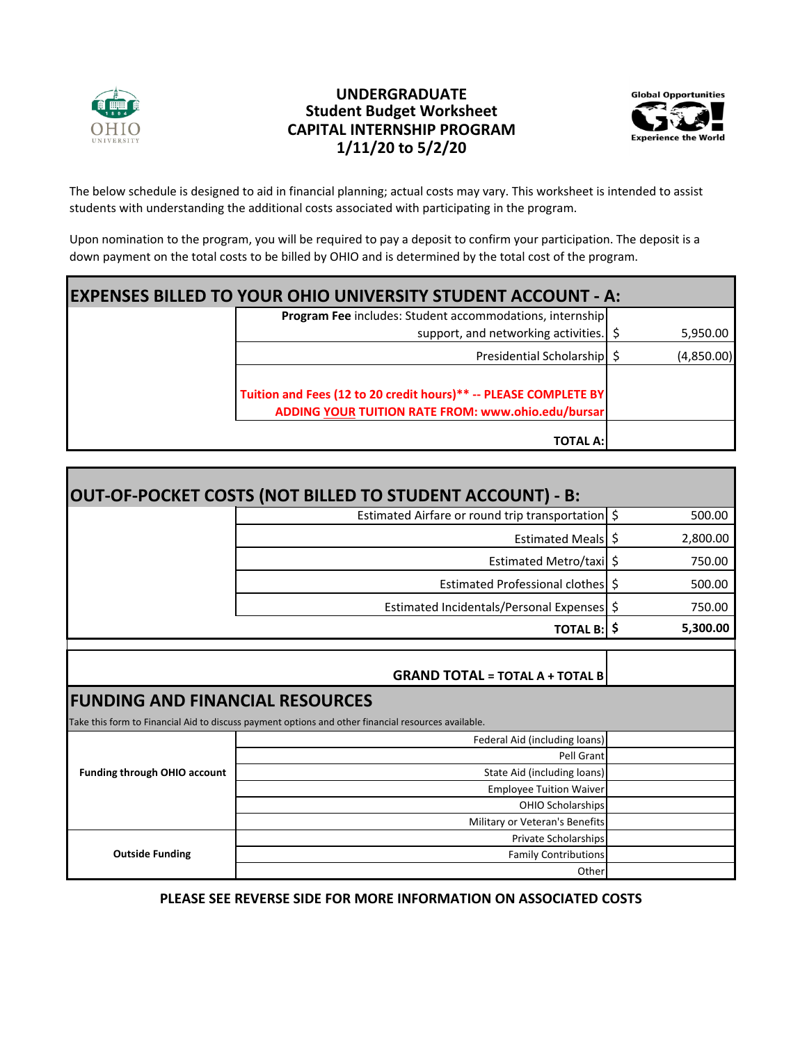

## **1/11/20 to 5/2/20 CAPITAL INTERNSHIP PROGRAM Student Budget Worksheet UNDERGRADUATE**



The below schedule is designed to aid in financial planning; actual costs may vary. This worksheet is intended to assist students with understanding the additional costs associated with participating in the program.

Upon nomination to the program, you will be required to pay a deposit to confirm your participation. The deposit is a down payment on the total costs to be billed by OHIO and is determined by the total cost of the program.

| <b>EXPENSES BILLED TO YOUR OHIO UNIVERSITY STUDENT ACCOUNT - A:</b> |                                                                                                                        |  |            |  |  |
|---------------------------------------------------------------------|------------------------------------------------------------------------------------------------------------------------|--|------------|--|--|
|                                                                     | <b>Program Fee includes: Student accommodations, internship</b>                                                        |  |            |  |  |
|                                                                     | support, and networking activities. \$                                                                                 |  | 5,950.00   |  |  |
|                                                                     | Presidential Scholarship   \$                                                                                          |  | (4,850.00) |  |  |
|                                                                     | Tuition and Fees (12 to 20 credit hours)** -- PLEASE COMPLETE BY<br>ADDING YOUR TUITION RATE FROM: www.ohio.edu/bursar |  |            |  |  |
|                                                                     | <b>TOTAL A:</b>                                                                                                        |  |            |  |  |

|                                        | OUT-OF-POCKET COSTS (NOT BILLED TO STUDENT ACCOUNT) - B:                                            |              |
|----------------------------------------|-----------------------------------------------------------------------------------------------------|--------------|
|                                        | Estimated Airfare or round trip transportation \$                                                   | 500.00       |
|                                        | Estimated Meals   \$                                                                                | 2,800.00     |
|                                        | Estimated Metro/taxi \$                                                                             | 750.00       |
|                                        | Estimated Professional clothes                                                                      | \$<br>500.00 |
|                                        | Estimated Incidentals/Personal Expenses                                                             | \$<br>750.00 |
|                                        | <b>TOTAL B:   \$</b>                                                                                | 5,300.00     |
|                                        |                                                                                                     |              |
|                                        | <b>GRAND TOTAL = TOTAL A + TOTAL B</b>                                                              |              |
| <b>FUNDING AND FINANCIAL RESOURCES</b> |                                                                                                     |              |
|                                        | Take this form to Financial Aid to discuss payment options and other financial resources available. |              |
| <b>Funding through OHIO account</b>    | Federal Aid (including loans)                                                                       |              |
|                                        | Pell Grant                                                                                          |              |
|                                        | State Aid (including loans)                                                                         |              |
|                                        | <b>Employee Tuition Waiver</b>                                                                      |              |
|                                        | <b>OHIO Scholarships</b>                                                                            |              |
|                                        | Military or Veteran's Benefits                                                                      |              |
| <b>Outside Funding</b>                 | <b>Private Scholarships</b>                                                                         |              |
|                                        | <b>Family Contributions</b>                                                                         |              |
|                                        |                                                                                                     |              |

**PLEASE SEE REVERSE SIDE FOR MORE INFORMATION ON ASSOCIATED COSTS**